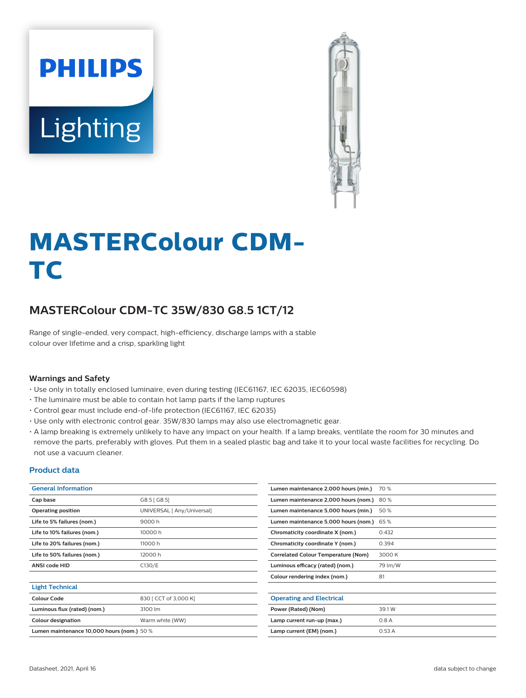



# **MASTERColour CDM-TC**

## **MASTERColour CDM-TC 35W/830 G8.5 1CT/12**

Range of single-ended, very compact, high-efficiency, discharge lamps with a stable colour over lifetime and a crisp, sparkling light

### **Warnings and Safety**

- Use only in totally enclosed luminaire, even during testing (IEC61167, IEC 62035, IEC60598)
- The luminaire must be able to contain hot lamp parts if the lamp ruptures
- Control gear must include end-of-life protection (IEC61167, IEC 62035)
- Use only with electronic control gear. 35W/830 lamps may also use electromagnetic gear.
- A lamp breaking is extremely unlikely to have any impact on your health. If a lamp breaks, ventilate the room for 30 minutes and remove the parts, preferably with gloves. Put them in a sealed plastic bag and take it to your local waste facilities for recycling. Do not use a vacuum cleaner.

### **Product data**

| <b>General Information</b>                 |                            | Lumen maintenance 2,000 hours (min.)       | 70 %    |
|--------------------------------------------|----------------------------|--------------------------------------------|---------|
| Cap base                                   | G8.5 [G8.5]                | Lumen maintenance 2,000 hours (nom.)       | 80%     |
| <b>Operating position</b>                  | UNIVERSAL [ Any/Universal] | Lumen maintenance 5,000 hours (min.)       | 50 %    |
| Life to 5% failures (nom.)                 | 9000h                      | Lumen maintenance 5,000 hours (nom.)       | 65 %    |
| Life to 10% failures (nom.)                | 10000 h                    | Chromaticity coordinate X (nom.)           | 0.432   |
| Life to 20% failures (nom.)                | 11000 h                    | Chromaticity coordinate Y (nom.)           | 0.394   |
| Life to 50% failures (nom.)                | 12000 h                    | <b>Correlated Colour Temperature (Nom)</b> | 3000 K  |
| <b>ANSI code HID</b>                       | C130/E                     | Luminous efficacy (rated) (nom.)           | 79 lm/W |
|                                            |                            | Colour rendering index (nom.)              | 81      |
| <b>Light Technical</b>                     |                            |                                            |         |
| <b>Colour Code</b>                         | 830   CCT of 3,000 K]      | <b>Operating and Electrical</b>            |         |
| Luminous flux (rated) (nom.)               | 3100 lm                    | Power (Rated) (Nom)                        | 39.1W   |
| <b>Colour designation</b>                  | Warm white (WW)            | Lamp current run-up (max.)                 | 0.8A    |
| Lumen maintenance 10,000 hours (nom.) 50 % |                            | Lamp current (EM) (nom.)                   | 0.53A   |
|                                            |                            |                                            |         |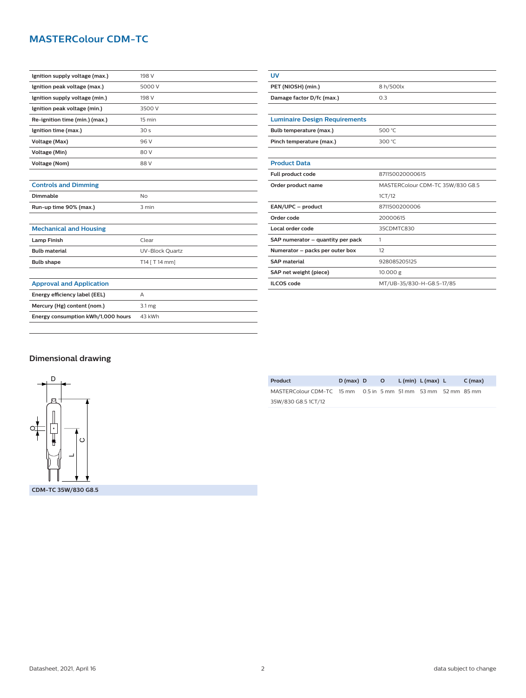## **MASTERColour CDM-TC**

| Ignition supply voltage (max.) | 198 V            |
|--------------------------------|------------------|
| Ignition peak voltage (max.)   | 5000 V           |
| Ignition supply voltage (min.) | 198 V            |
| Ignition peak voltage (min.)   | 3500 V           |
| Re-ignition time (min.) (max.) | $15 \text{ min}$ |
| Ignition time (max.)           | 30 <sub>s</sub>  |
| Voltage (Max)                  | 96 V             |
| Voltage (Min)                  | 80 V             |
| Voltage (Nom)                  | 88 V             |
|                                |                  |

| <b>Luminaire Design Requirements</b> |                                  |  |  |
|--------------------------------------|----------------------------------|--|--|
| Bulb temperature (max.)              | 500 °C                           |  |  |
| Pinch temperature (max.)             | 300 $°C$                         |  |  |
|                                      |                                  |  |  |
| <b>Product Data</b>                  |                                  |  |  |
| Full product code                    | 871150020000615                  |  |  |
| Order product name                   | MASTERColour CDM-TC 35W/830 G8.5 |  |  |
|                                      | 1CT/12                           |  |  |
| EAN/UPC - product                    | 8711500200006                    |  |  |
| Order code                           | 20000615                         |  |  |
| Local order code                     | 35CDMTC830                       |  |  |
| SAP numerator - quantity per pack    | 1                                |  |  |
| Numerator - packs per outer box      | 12                               |  |  |
| <b>SAP material</b>                  | 928085205125                     |  |  |
| SAP net weight (piece)               | 10.000 g                         |  |  |
| <b>ILCOS</b> code                    | MT/UB-35/830-H-G8.5-17/85        |  |  |

**UV**

**PET (NIOSH) (min.)** 8 h/500lx **Damage factor D/fc (max.)** 0.3

## **Mechanical and Housing Lamp Finish** Clear **Bulb material** UV-Block Quartz

**Controls and Dimming**

**Dimmable** No **Run-up time 90% (max.)** 3 min

| <b>Bulb shape</b>                  | T14 [ T 14 mm]    |
|------------------------------------|-------------------|
|                                    |                   |
| <b>Approval and Application</b>    |                   |
| Energy efficiency label (EEL)      | А                 |
| Mercury (Hg) content (nom.)        | 3.1 <sub>mg</sub> |
| Energy consumption kWh/1,000 hours | 43 kWh            |
|                                    |                   |

| <b>Dimensional drawing</b> |  |
|----------------------------|--|
|----------------------------|--|



| Product                                                       | $D(max)$ D | $\circ$ | $L$ (min) $L$ (max) $L$ | $C \, (max)$ |
|---------------------------------------------------------------|------------|---------|-------------------------|--------------|
| MASTERColour CDM-TC 15 mm 0.5 in 5 mm 51 mm 53 mm 52 mm 85 mm |            |         |                         |              |
| 35W/830 G8.5 1CT/12                                           |            |         |                         |              |